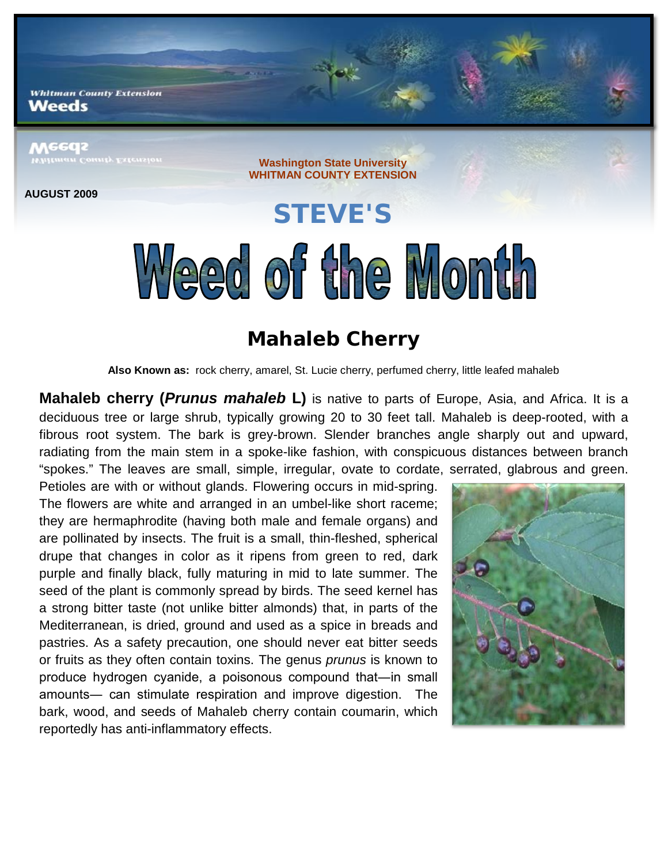**Whitman County Extension** Weeds

## **Meeds**

**AUGUST 2009**

**Washington State University WHITMAN COUNTY EXTENSION**

## **STEVE'S** Weed of the Month

## **Mahaleb Cherry**

**Also Known as:** rock cherry, amarel, St. Lucie cherry, perfumed cherry, little leafed mahaleb

**Mahaleb cherry (***Prunus mahaleb* **L)** is native to parts of Europe, Asia, and Africa. It is a deciduous tree or large shrub, typically growing 20 to 30 feet tall. Mahaleb is deep-rooted, with a fibrous root system. The bark is grey-brown. Slender branches angle sharply out and upward, radiating from the main stem in a spoke-like fashion, with conspicuous distances between branch "spokes." The leaves are small, simple, irregular, ovate to cordate, serrated, glabrous and green.

Petioles are with or without glands. Flowering occurs in mid-spring. The flowers are white and arranged in an umbel-like short raceme; they are hermaphrodite (having both male and female organs) and are pollinated by insects. The fruit is a small, thin-fleshed, spherical drupe that changes in color as it ripens from green to red, dark purple and finally black, fully maturing in mid to late summer. The seed of the plant is commonly spread by birds. The seed kernel has a strong bitter taste (not unlike bitter almonds) that, in parts of the Mediterranean, is dried, ground and used as a spice in breads and pastries. As a safety precaution, one should never eat bitter seeds or fruits as they often contain toxins. The genus *prunus* is known to produce hydrogen cyanide, a poisonous compound that―in small amounts― can stimulate respiration and improve digestion. The bark, wood, and seeds of Mahaleb cherry contain coumarin, which reportedly has anti-inflammatory effects.

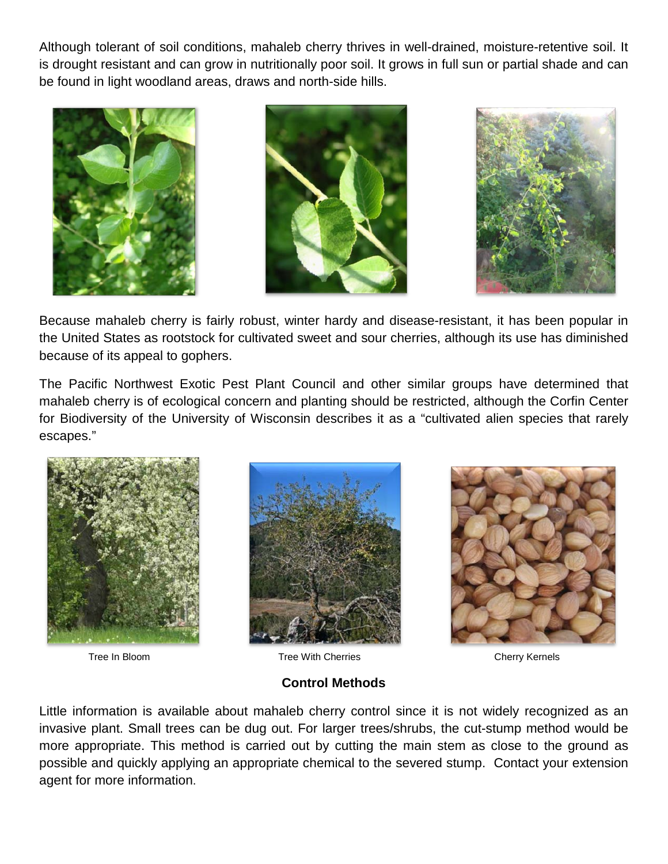Although tolerant of soil conditions, mahaleb cherry thrives in well-drained, moisture-retentive soil. It is drought resistant and can grow in nutritionally poor soil. It grows in full sun or partial shade and can be found in light woodland areas, draws and north-side hills.







Because mahaleb cherry is fairly robust, winter hardy and disease-resistant, it has been popular in the United States as rootstock for cultivated sweet and sour cherries, although its use has diminished because of its appeal to gophers.

The Pacific Northwest Exotic Pest Plant Council and other similar groups have determined that mahaleb cherry is of ecological concern and planting should be restricted, although the Corfin Center for Biodiversity of the University of Wisconsin describes it as a "cultivated alien species that rarely escapes."







**Tree In Bloom Tree With Cherries Cherry Kernels** 

**Control Methods**

Little information is available about mahaleb cherry control since it is not widely recognized as an invasive plant. Small trees can be dug out. For larger trees/shrubs, the cut-stump method would be more appropriate. This method is carried out by cutting the main stem as close to the ground as possible and quickly applying an appropriate chemical to the severed stump. Contact your extension agent for more information.